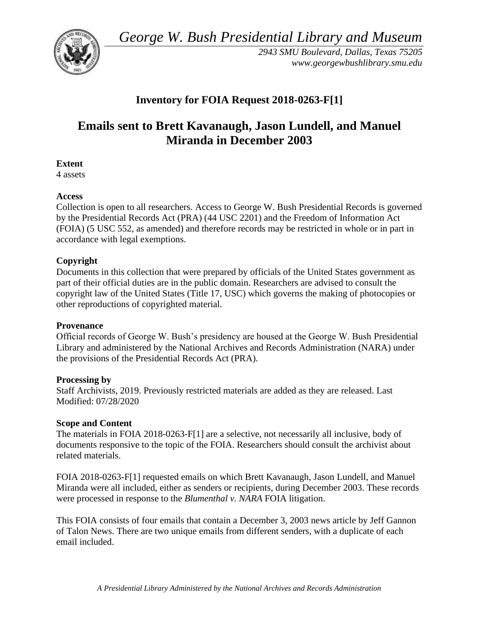*George W. Bush Presidential Library and Museum* 



*2943 SMU Boulevard, Dallas, Texas 75205 <www.georgewbushlibrary.smu.edu>*

## **Inventory for FOIA Request 2018-0263-F[1]**

# **Emails sent to Brett Kavanaugh, Jason Lundell, and Manuel Miranda in December 2003**

### **Extent**

4 assets

### **Access**

Collection is open to all researchers. Access to George W. Bush Presidential Records is governed by the Presidential Records Act (PRA) (44 USC 2201) and the Freedom of Information Act (FOIA) (5 USC 552, as amended) and therefore records may be restricted in whole or in part in accordance with legal exemptions.

## **Copyright**

Documents in this collection that were prepared by officials of the United States government as part of their official duties are in the public domain. Researchers are advised to consult the copyright law of the United States (Title 17, USC) which governs the making of photocopies or other reproductions of copyrighted material.

#### **Provenance**

 Official records of George W. Bush's presidency are housed at the George W. Bush Presidential Library and administered by the National Archives and Records Administration (NARA) under the provisions of the Presidential Records Act (PRA).

#### **Processing by**

Staff Archivists, 2019. Previously restricted materials are added as they are released. Last Modified: 07/28/2020

#### **Scope and Content**

The materials in FOIA 2018-0263-F[1] are a selective, not necessarily all inclusive, body of documents responsive to the topic of the FOIA. Researchers should consult the archivist about related materials.

FOIA 2018-0263-F[1] requested emails on which Brett Kavanaugh, Jason Lundell, and Manuel Miranda were all included, either as senders or recipients, during December 2003. These records were processed in response to the *Blumenthal v. NARA* FOIA litigation.

This FOIA consists of four emails that contain a December 3, 2003 news article by Jeff Gannon of Talon News. There are two unique emails from different senders, with a duplicate of each email included.